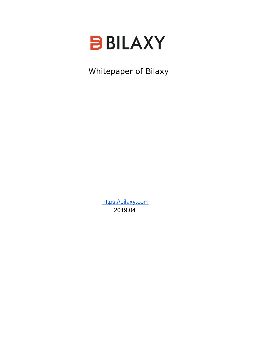

Whitepaper of Bilaxy

[https://bilaxy.com](https://bilaxy.com/) 2019.04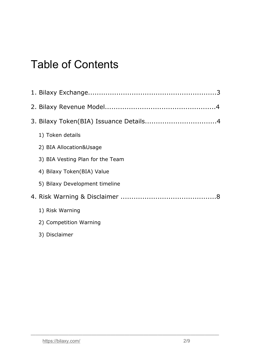# Table of Contents

| 1) Token details                 |
|----------------------------------|
| 2) BIA Allocation&Usage          |
| 3) BIA Vesting Plan for the Team |
| 4) Bilaxy Token(BIA) Value       |
| 5) Bilaxy Development timeline   |
|                                  |
| 1) Risk Warning                  |
| 2) Competition Warning           |
| 3) Disclaimer                    |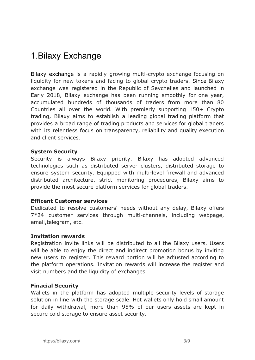# 1.Bilaxy Exchange

Bilaxy exchange is a rapidly growing multi-crypto exchange focusing on liquidity for new tokens and facing to global crypto traders. Since Bilaxy exchange was registered in the Republic of Seychelles and launched in Early 2018, Bilaxy exchange has been running smoothly for one year, accumulated hundreds of thousands of traders from more than 80 Countries all over the world. With premierly supporting 150+ Crypto trading, Bilaxy aims to establish a leading global trading platform that provides a broad range of trading products and services for global traders with its relentless focus on transparency, reliability and quality execution and client services.

### **System Security**

Security is always Bilaxy priority. Bilaxy has adopted advanced technologies such as distributed server clusters, distributed storage to ensure system security. Equipped with multi-level firewall and advanced distributed architecture, strict monitoring procedures, Bilaxy aims to provide the most secure platform services for global traders.

#### **Efficent Customer services**

Dedicated to resolve customers' needs without any delay, Bilaxy offers 7\*24 customer services through multi-channels, including webpage, email,telegram, etc.

#### **Invitation rewards**

Registration invite links will be distributed to all the Bilaxy users. Users will be able to enjoy the direct and indirect promotion bonus by inviting new users to register. This reward portion will be adjusted according to the platform operations. Invitation rewards will increase the register and visit numbers and the liquidity of exchanges.

### **Finacial Security**

Wallets in the platform has adopted multiple security levels of storage solution in line with the storage scale. Hot wallets only hold small amount for daily withdrawal, more than 95% of our users assets are kept in secure cold storage to ensure asset security.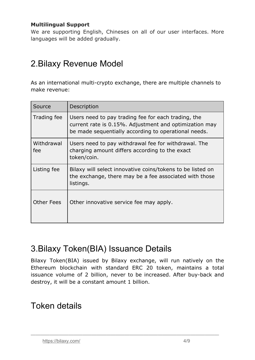### **Multilingual Support**

We are supporting English, Chineses on all of our user interfaces. More languages will be added gradually.

# 2.Bilaxy Revenue Model

As an international multi-crypto exchange, there are multiple channels to make revenue:

| Source            | Description                                                                                                                                                           |
|-------------------|-----------------------------------------------------------------------------------------------------------------------------------------------------------------------|
| Trading fee       | Users need to pay trading fee for each trading, the<br>current rate is 0.15%. Adjustment and optimization may<br>be made sequentially according to operational needs. |
| Withdrawal<br>fee | Users need to pay withdrawal fee for withdrawal. The<br>charging amount differs according to the exact<br>token/coin.                                                 |
| Listing fee       | Bilaxy will select innovative coins/tokens to be listed on<br>the exchange, there may be a fee associated with those<br>listings.                                     |
| <b>Other Fees</b> | Other innovative service fee may apply.                                                                                                                               |

# 3.Bilaxy Token(BIA) Issuance Details

Bilaxy Token(BIA) issued by Bilaxy exchange, will run natively on the Ethereum blockchain with standard ERC 20 token, maintains a total issuance volume of 2 billion, never to be increased. After buy-back and destroy, it will be a constant amount 1 billion.

————————————————————————————————————————

# Token details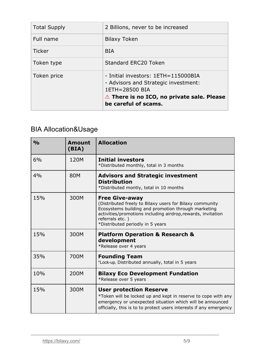| <b>Total Supply</b> | 2 Billions, never to be increased                                                                                                                                             |
|---------------------|-------------------------------------------------------------------------------------------------------------------------------------------------------------------------------|
| Full name           | <b>Bilaxy Token</b>                                                                                                                                                           |
| <b>Ticker</b>       | <b>BIA</b>                                                                                                                                                                    |
| Token type          | <b>Standard ERC20 Token</b>                                                                                                                                                   |
| Token price         | - Initial investors: 1ETH=115000BIA<br>- Advisors and Strategic investment:<br>1ETH=28500 BIA<br>$\triangle$ There is no ICO, no private sale. Please<br>be careful of scams. |

# BIA Allocation&Usage

| $\frac{0}{0}$ | <b>Amount</b><br>(BIA) | <b>Allocation</b>                                                                                                                                                                                                                                               |
|---------------|------------------------|-----------------------------------------------------------------------------------------------------------------------------------------------------------------------------------------------------------------------------------------------------------------|
| 6%            | 120M                   | <b>Initial investors</b><br>*Distributed monthly, total in 3 months                                                                                                                                                                                             |
| 4%            | <b>80M</b>             | <b>Advisors and Strategic investment</b><br><b>Distribution</b><br>*Distributed montly, total in 10 months                                                                                                                                                      |
| 15%           | 300M                   | <b>Free Give-away</b><br>(Distributed freely to Bilaxy users for Bilaxy community<br>Ecosystems building and promotion through marketing<br>activities/promotions including airdrop, rewards, invitation<br>referrals etc.)<br>*Distributed periodly in 5 years |
| 15%           | 300M                   | <b>Platform Operation &amp; Research &amp;</b><br>development<br>*Release over 4 years                                                                                                                                                                          |
| 35%           | 700M                   | <b>Founding Team</b><br>*Lock-up, Distributed annually, total in 5 years                                                                                                                                                                                        |
| 10%           | 200M                   | <b>Bilaxy Eco Development Fundation</b><br>*Release over 5 years                                                                                                                                                                                                |
| 15%           | 300M                   | <b>User protection Reserve</b><br>*Token will be locked up and kept in reserve to cope with any<br>emergency or unexpected situation which will be announced<br>officially, this is to to protect users interests if any emergency                              |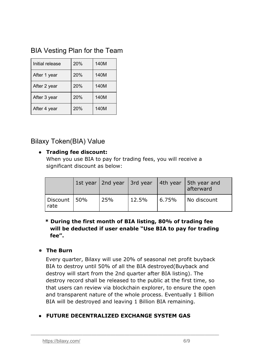# BIA Vesting Plan for the Team

| Initial release | 20% | 140M |
|-----------------|-----|------|
| After 1 year    | 20% | 140M |
| After 2 year    | 20% | 140M |
| After 3 year    | 20% | 140M |
| After 4 year    | 20% | 140M |

# Bilaxy Token(BIA) Value

# **● Trading fee discount:**

When you use BIA to pay for trading fees, you will receive a significant discount as below:

|                        | 1st year   2nd year   3rd year |       |        | 4th year   5th year and<br>afterward |
|------------------------|--------------------------------|-------|--------|--------------------------------------|
| Discount   50%<br>rate | 25%                            | 12.5% | 16.75% | No discount                          |

# **\* During the first month of BIA listing, 80% of trading fee will be deducted if user enable "Use BIA to pay for trading fee".**

# ● **The Burn**

Every quarter, Bilaxy will use 20% of seasonal net profit buyback BIA to destroy until 50% of all the BIA destroyed(Buyback and destroy will start from the 2nd quarter after BIA listing). The destroy record shall be released to the public at the first time, so that users can review via blockchain explorer, to ensure the open and transparent nature of the whole process. Eventually 1 Billion BIA will be destroyed and leaving 1 Billion BIA remaining.

# **● FUTURE DECENTRALIZED EXCHANGE SYSTEM GAS**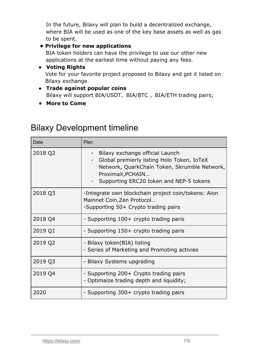In the future, Bilaxy will plan to build a decentralized exchange, where BIA will be used as one of the key base assets as well as gas to be spent.

# **• Privilege for new applications**

BIA token holders can have the privilege to use our other new applications at the earliest time without paying any fees.

### **● Voting Rights** Vote for your favorite project proposed to Bilaxy and get it listed on Bilaxy exchange.

- **● Trade against popular coins** Bilaxy will support BIA/USDT、BIA/BTC 、BIA/ETH trading pairs;
- **More to Come**

# Bilaxy Development timeline

| Date    | Plan                                                                                                                                                                                                 |
|---------|------------------------------------------------------------------------------------------------------------------------------------------------------------------------------------------------------|
| 2018 Q2 | Bilaxy exchange official Launch<br>Global premierly listing Holo Token, IoTeX<br>Network, QuarkChain Token, Skrumble Network,<br>ProximaX, PCHAIN<br>Supporting ERC20 token and NEP-5 tokens<br>$ -$ |
| 2018 Q3 | -Integrate own blockchain project coin/tokens: Aion<br>Mainnet Coin, Zen Protocol<br>-Supporting 50+ Crypto trading pairs                                                                            |
| 2018 Q4 | - Supporting 100+ crypto trading paris                                                                                                                                                               |
| 2019 Q1 | - Supporting 150+ crypto trading paris                                                                                                                                                               |
| 2019 Q2 | - Bilaxy token(BIA) listing<br>- Series of Marketing and Promoting activies                                                                                                                          |
| 2019 Q3 | - Bilaxy Systems upgrading                                                                                                                                                                           |
| 2019 Q4 | - Supporting 200+ Crypto trading pairs<br>- Optimaize trading depth and liquidity;                                                                                                                   |
| 2020    | - Supporting 300+ crypto trading pairs                                                                                                                                                               |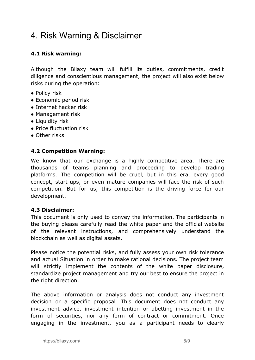# 4. Risk Warning & Disclaimer

# **4.1 Risk warning:**

Although the Bilaxy team will fulfill its duties, commitments, credit diligence and conscientious management, the project will also exist below risks during the operation:

- Policy risk
- Economic period risk
- Internet hacker risk
- Management risk
- Liquidity risk
- Price fluctuation risk
- Other risks

### **4.2 Competition Warning:**

We know that our exchange is a highly competitive area. There are thousands of teams planning and proceeding to develop trading platforms. The competition will be cruel, but in this era, every good concept, start-ups, or even mature companies will face the risk of such competition. But for us, this competition is the driving force for our development.

### **4.3 Disclaimer:**

This document is only used to convey the information. The participants in the buying please carefully read the white paper and the official website of the relevant instructions, and comprehensively understand the blockchain as well as digital assets.

Please notice the potential risks, and fully assess your own risk tolerance and actual Situation in order to make rational decisions. The project team will strictly implement the contents of the white paper disclosure, standardize project management and try our best to ensure the project in the right direction.

The above information or analysis does not conduct any investment decision or a specific proposal. This document does not conduct any investment advice, investment intention or abetting investment in the form of securities, nor any form of contract or commitment. Once engaging in the investment, you as a participant needs to clearly